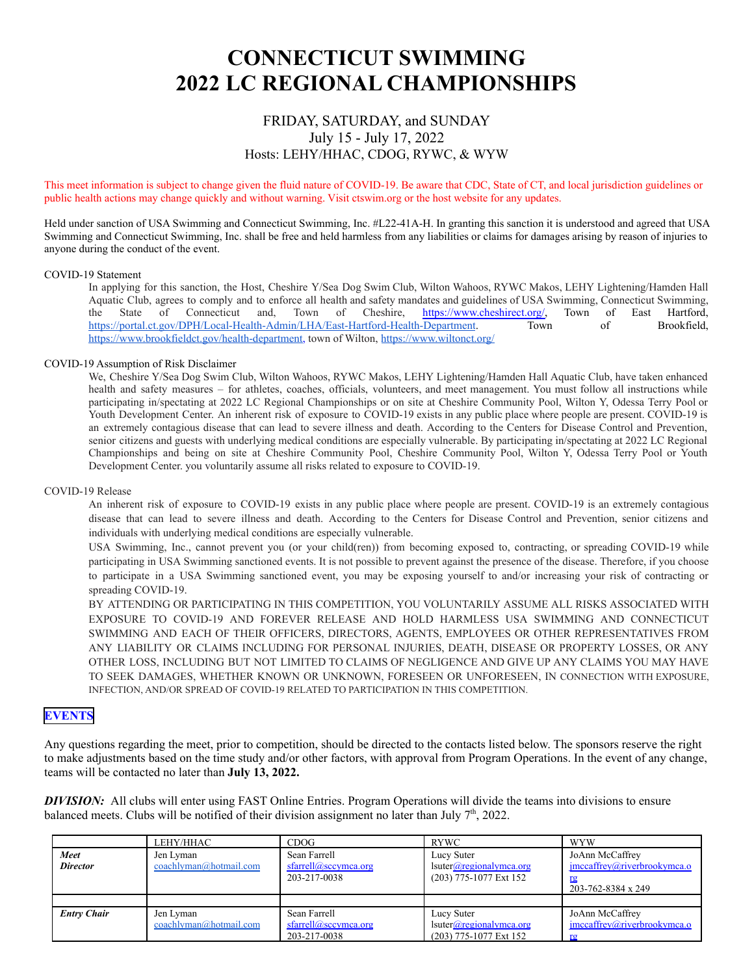# **CONNECTICUT SWIMMING 2022 LC REGIONAL CHAMPIONSHIPS**

## FRIDAY, SATURDAY, and SUNDAY July 15 - July 17, 2022 Hosts: LEHY/HHAC, CDOG, RYWC, & WYW

This meet information is subject to change given the fluid nature of COVID-19. Be aware that CDC, State of CT, and local jurisdiction guidelines or public health actions may change quickly and without warning. Visit ctswim.org or the host website for any updates.

Held under sanction of USA Swimming and Connecticut Swimming, Inc. #L22-41A-H. In granting this sanction it is understood and agreed that USA Swimming and Connecticut Swimming, Inc. shall be free and held harmless from any liabilities or claims for damages arising by reason of injuries to anyone during the conduct of the event.

#### COVID-19 Statement

In applying for this sanction, the Host, Cheshire Y/Sea Dog Swim Club, Wilton Wahoos, RYWC Makos, LEHY Lightening/Hamden Hall Aquatic Club, agrees to comply and to enforce all health and safety mandates and guidelines of USA Swimming, Connecticut Swimming, the State of Connecticut and, Town of Cheshire, https://www.cheshirect.org/, Town of East H the State of Connecticut and, Town of Cheshire, [https://www.cheshirect.org/,](https://www.cheshirect.org/) <https://portal.ct.gov/DPH/Local-Health-Admin/LHA/East-Hartford-Health-Department>. Town of Brookfield, [https://www.brookfieldct.gov/health-department,](https://www.brookfieldct.gov/health-department) town of Wilton, <https://www.wiltonct.org/>

#### COVID-19 Assumption of Risk Disclaimer

We, Cheshire Y/Sea Dog Swim Club, Wilton Wahoos, RYWC Makos, LEHY Lightening/Hamden Hall Aquatic Club, have taken enhanced health and safety measures – for athletes, coaches, officials, volunteers, and meet management. You must follow all instructions while participating in/spectating at 2022 LC Regional Championships or on site at Cheshire Community Pool, Wilton Y, Odessa Terry Pool or Youth Development Center. An inherent risk of exposure to COVID-19 exists in any public place where people are present. COVID-19 is an extremely contagious disease that can lead to severe illness and death. According to the Centers for Disease Control and Prevention, senior citizens and guests with underlying medical conditions are especially vulnerable. By participating in/spectating at 2022 LC Regional Championships and being on site at Cheshire Community Pool, Cheshire Community Pool, Wilton Y, Odessa Terry Pool or Youth Development Center. you voluntarily assume all risks related to exposure to COVID-19.

#### COVID-19 Release

An inherent risk of exposure to COVID-19 exists in any public place where people are present. COVID-19 is an extremely contagious disease that can lead to severe illness and death. According to the Centers for Disease Control and Prevention, senior citizens and individuals with underlying medical conditions are especially vulnerable.

USA Swimming, Inc., cannot prevent you (or your child(ren)) from becoming exposed to, contracting, or spreading COVID-19 while participating in USA Swimming sanctioned events. It is not possible to prevent against the presence of the disease. Therefore, if you choose to participate in a USA Swimming sanctioned event, you may be exposing yourself to and/or increasing your risk of contracting or spreading COVID-19.

BY ATTENDING OR PARTICIPATING IN THIS COMPETITION, YOU VOLUNTARILY ASSUME ALL RISKS ASSOCIATED WITH EXPOSURE TO COVID-19 AND FOREVER RELEASE AND HOLD HARMLESS USA SWIMMING AND CONNECTICUT SWIMMING AND EACH OF THEIR OFFICERS, DIRECTORS, AGENTS, EMPLOYEES OR OTHER REPRESENTATIVES FROM ANY LIABILITY OR CLAIMS INCLUDING FOR PERSONAL INJURIES, DEATH, DISEASE OR PROPERTY LOSSES, OR ANY OTHER LOSS, INCLUDING BUT NOT LIMITED TO CLAIMS OF NEGLIGENCE AND GIVE UP ANY CLAIMS YOU MAY HAVE TO SEEK DAMAGES, WHETHER KNOWN OR UNKNOWN, FORESEEN OR UNFORESEEN, IN CONNECTION WITH EXPOSURE, INFECTION, AND/OR SPREAD OF COVID-19 RELATED TO PARTICIPATION IN THIS COMPETITION.

#### **[EVENTS](#page-6-0)**

Any questions regarding the meet, prior to competition, should be directed to the contacts listed below. The sponsors reserve the right to make adjustments based on the time study and/or other factors, with approval from Program Operations. In the event of any change, teams will be contacted no later than **July 13, 2022.**

**DIVISION:** All clubs will enter using FAST Online Entries. Program Operations will divide the teams into divisions to ensure balanced meets. Clubs will be notified of their division assignment no later than July  $7<sup>th</sup>$ , 2022.

|                         | LEHY/HHAC                           | CDOG                                                                            | <b>RYWC</b>                                                                  | <b>WYW</b>                                                           |  |  |
|-------------------------|-------------------------------------|---------------------------------------------------------------------------------|------------------------------------------------------------------------------|----------------------------------------------------------------------|--|--|
| Meet<br><b>Director</b> | Jen Lyman<br>coachlyman@hotmail.com | Sean Farrell<br>$\frac{\text{sfarrell}(a)\text{sccymca.org}}{}$<br>203-217-0038 | Lucy Suter<br>l <sub>su</sub> ter@regionalymca.org<br>(203) 775-1077 Ext 152 | JoAnn McCaffrey<br>imccaffrey@riverbrookymca.o<br>203-762-8384 x 249 |  |  |
|                         |                                     |                                                                                 |                                                                              |                                                                      |  |  |
| <b>Entry Chair</b>      | Jen Lyman<br>coachlyman@hotmail.com | Sean Farrell<br>sfarrell@sccymca.org<br>203-217-0038                            | Lucy Suter<br>l <sub>su</sub> ter@regionalymca.org<br>(203) 775-1077 Ext 152 | JoAnn McCaffrey<br>imccaffrey@riverbrookymca.o                       |  |  |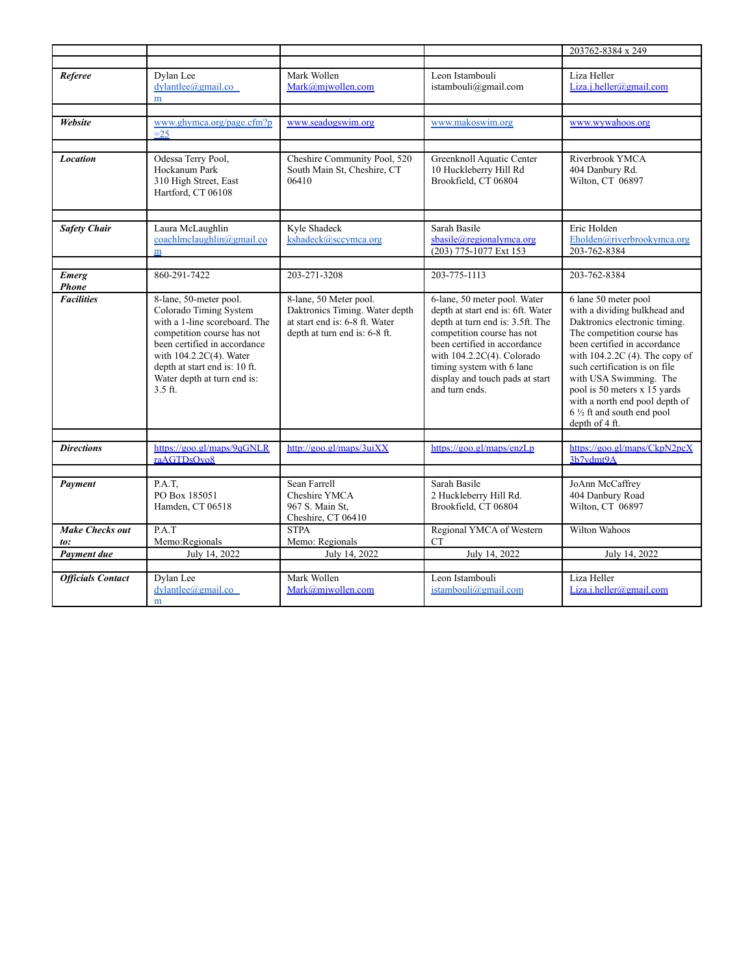|                               |                                                                                                                                                                                                                                                         |                                                                                                                             |                                                                                                                                                                                                                                                                                     | 203762-8384 x 249                                                                                                                                                                                                                                                                                                                                                              |  |  |  |
|-------------------------------|---------------------------------------------------------------------------------------------------------------------------------------------------------------------------------------------------------------------------------------------------------|-----------------------------------------------------------------------------------------------------------------------------|-------------------------------------------------------------------------------------------------------------------------------------------------------------------------------------------------------------------------------------------------------------------------------------|--------------------------------------------------------------------------------------------------------------------------------------------------------------------------------------------------------------------------------------------------------------------------------------------------------------------------------------------------------------------------------|--|--|--|
|                               |                                                                                                                                                                                                                                                         |                                                                                                                             |                                                                                                                                                                                                                                                                                     |                                                                                                                                                                                                                                                                                                                                                                                |  |  |  |
| Referee                       | Dylan Lee<br>$d$ ylantlee@gmail.co<br>m                                                                                                                                                                                                                 | Mark Wollen<br>Mark@mjwollen.com                                                                                            | Leon Istambouli<br>istambouli@gmail.com                                                                                                                                                                                                                                             | Liza Heller<br>Liza.j.heller@gmail.com                                                                                                                                                                                                                                                                                                                                         |  |  |  |
|                               |                                                                                                                                                                                                                                                         |                                                                                                                             |                                                                                                                                                                                                                                                                                     |                                                                                                                                                                                                                                                                                                                                                                                |  |  |  |
| Website                       | www.ghymca.org/page.cfm?p<br>$=25$                                                                                                                                                                                                                      | www.seadogswim.org                                                                                                          | www.makoswim.org                                                                                                                                                                                                                                                                    | www.wywahoos.org                                                                                                                                                                                                                                                                                                                                                               |  |  |  |
|                               |                                                                                                                                                                                                                                                         |                                                                                                                             |                                                                                                                                                                                                                                                                                     |                                                                                                                                                                                                                                                                                                                                                                                |  |  |  |
| <b>Location</b>               | Odessa Terry Pool,<br>Hockanum Park<br>310 High Street, East<br>Hartford, CT 06108                                                                                                                                                                      | Cheshire Community Pool, 520<br>South Main St, Cheshire, CT<br>06410                                                        | Greenknoll Aquatic Center<br>10 Huckleberry Hill Rd<br>Brookfield, CT 06804                                                                                                                                                                                                         | Riverbrook YMCA<br>404 Danbury Rd.<br>Wilton, CT 06897                                                                                                                                                                                                                                                                                                                         |  |  |  |
|                               |                                                                                                                                                                                                                                                         |                                                                                                                             |                                                                                                                                                                                                                                                                                     |                                                                                                                                                                                                                                                                                                                                                                                |  |  |  |
| <b>Safety Chair</b>           | Laura McLaughlin<br>coachlmclaughlin@gmail.co<br>m                                                                                                                                                                                                      | Kyle Shadeck<br>kshadeck@sccymca.org                                                                                        | Sarah Basile<br>sbasile@regionalymca.org<br>(203) 775-1077 Ext 153                                                                                                                                                                                                                  | Eric Holden<br>Eholden@riverbrookymca.org<br>203-762-8384                                                                                                                                                                                                                                                                                                                      |  |  |  |
|                               |                                                                                                                                                                                                                                                         |                                                                                                                             |                                                                                                                                                                                                                                                                                     |                                                                                                                                                                                                                                                                                                                                                                                |  |  |  |
| <b>Emerg</b><br>Phone         | 860-291-7422                                                                                                                                                                                                                                            | 203-271-3208                                                                                                                | 203-775-1113                                                                                                                                                                                                                                                                        | 203-762-8384                                                                                                                                                                                                                                                                                                                                                                   |  |  |  |
| <b>Facilities</b>             | 8-lane, 50-meter pool.<br>Colorado Timing System<br>with a 1-line scoreboard. The<br>competition course has not<br>been certified in accordance<br>with 104.2.2C(4). Water<br>depth at start end is: 10 ft.<br>Water depth at turn end is:<br>$3.5$ ft. | 8-lane, 50 Meter pool.<br>Daktronics Timing. Water depth<br>at start end is: 6-8 ft. Water<br>depth at turn end is: 6-8 ft. | 6-lane, 50 meter pool. Water<br>depth at start end is: 6ft. Water<br>depth at turn end is: 3.5ft. The<br>competition course has not<br>been certified in accordance<br>with 104.2.2C(4). Colorado<br>timing system with 6 lane<br>display and touch pads at start<br>and turn ends. | 6 lane 50 meter pool<br>with a dividing bulkhead and<br>Daktronics electronic timing.<br>The competition course has<br>been certified in accordance<br>with $104.2.2C(4)$ . The copy of<br>such certification is on file<br>with USA Swimming. The<br>pool is 50 meters x 15 yards<br>with a north end pool depth of<br>$6\frac{1}{2}$ ft and south end pool<br>depth of 4 ft. |  |  |  |
|                               |                                                                                                                                                                                                                                                         |                                                                                                                             |                                                                                                                                                                                                                                                                                     |                                                                                                                                                                                                                                                                                                                                                                                |  |  |  |
| <b>Directions</b>             | https://goo.gl/maps/9qGNLR<br>raAGTDsOvo8                                                                                                                                                                                                               | http://goo.gl/maps/3uiXX                                                                                                    | https://goo.gl/maps/enzLp                                                                                                                                                                                                                                                           | https://goo.gl/maps/CkpN2pcX<br>3h7vdmt9A                                                                                                                                                                                                                                                                                                                                      |  |  |  |
| Payment                       | P.A.T.<br>PO Box 185051<br>Hamden, CT 06518                                                                                                                                                                                                             | Sean Farrell<br>Cheshire YMCA<br>967 S. Main St.<br>Cheshire, CT 06410                                                      | Sarah Basile<br>2 Huckleberry Hill Rd.<br>Brookfield, CT 06804                                                                                                                                                                                                                      | JoAnn McCaffrey<br>404 Danbury Road<br>Wilton, CT 06897                                                                                                                                                                                                                                                                                                                        |  |  |  |
| <b>Make Checks out</b><br>to: | P.A.T<br>Memo:Regionals                                                                                                                                                                                                                                 | <b>STPA</b><br>Memo: Regionals                                                                                              | Regional YMCA of Western<br>СT                                                                                                                                                                                                                                                      | Wilton Wahoos                                                                                                                                                                                                                                                                                                                                                                  |  |  |  |
| Payment due                   | July 14, 2022                                                                                                                                                                                                                                           | July 14, 2022                                                                                                               | July 14, 2022                                                                                                                                                                                                                                                                       | July 14, 2022                                                                                                                                                                                                                                                                                                                                                                  |  |  |  |
|                               |                                                                                                                                                                                                                                                         |                                                                                                                             |                                                                                                                                                                                                                                                                                     |                                                                                                                                                                                                                                                                                                                                                                                |  |  |  |
| <b>Officials Contact</b>      | Dylan Lee<br>$d$ vlantlee $@$ gmail.co<br>m                                                                                                                                                                                                             | Mark Wollen<br>Mark@miwollen.com                                                                                            | Leon Istambouli<br>istambouli@gmail.com                                                                                                                                                                                                                                             | Liza Heller<br>Liza.j.heller@gmail.com                                                                                                                                                                                                                                                                                                                                         |  |  |  |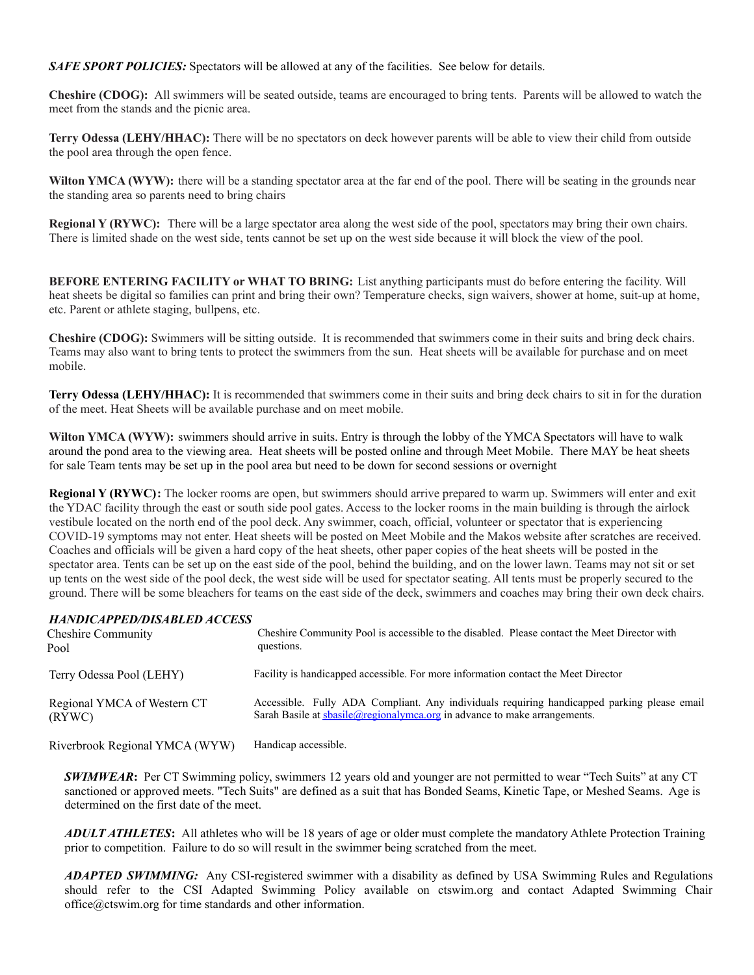*SAFE SPORT POLICIES:* Spectators will be allowed at any of the facilities. See below for details.

**Cheshire (CDOG):** All swimmers will be seated outside, teams are encouraged to bring tents. Parents will be allowed to watch the meet from the stands and the picnic area.

**Terry Odessa (LEHY/HHAC):** There will be no spectators on deck however parents will be able to view their child from outside the pool area through the open fence.

Wilton YMCA (WYW): there will be a standing spectator area at the far end of the pool. There will be seating in the grounds near the standing area so parents need to bring chairs

**Regional Y (RYWC):** There will be a large spectator area along the west side of the pool, spectators may bring their own chairs. There is limited shade on the west side, tents cannot be set up on the west side because it will block the view of the pool.

**BEFORE ENTERING FACILITY or WHAT TO BRING:** List anything participants must do before entering the facility. Will heat sheets be digital so families can print and bring their own? Temperature checks, sign waivers, shower at home, suit-up at home, etc. Parent or athlete staging, bullpens, etc.

**Cheshire (CDOG):** Swimmers will be sitting outside. It is recommended that swimmers come in their suits and bring deck chairs. Teams may also want to bring tents to protect the swimmers from the sun. Heat sheets will be available for purchase and on meet mobile.

**Terry Odessa (LEHY/HHAC):** It is recommended that swimmers come in their suits and bring deck chairs to sit in for the duration of the meet. Heat Sheets will be available purchase and on meet mobile.

Wilton YMCA (WYW): swimmers should arrive in suits. Entry is through the lobby of the YMCA Spectators will have to walk around the pond area to the viewing area. Heat sheets will be posted online and through Meet Mobile. There MAY be heat sheets for sale Team tents may be set up in the pool area but need to be down for second sessions or overnight

**Regional Y (RYWC):** The locker rooms are open, but swimmers should arrive prepared to warm up. Swimmers will enter and exit the YDAC facility through the east or south side pool gates. Access to the locker rooms in the main building is through the airlock vestibule located on the north end of the pool deck. Any swimmer, coach, official, volunteer or spectator that is experiencing COVID-19 symptoms may not enter. Heat sheets will be posted on Meet Mobile and the Makos website after scratches are received. Coaches and officials will be given a hard copy of the heat sheets, other paper copies of the heat sheets will be posted in the spectator area. Tents can be set up on the east side of the pool, behind the building, and on the lower lawn. Teams may not sit or set up tents on the west side of the pool deck, the west side will be used for spectator seating. All tents must be properly secured to the ground. There will be some bleachers for teams on the east side of the deck, swimmers and coaches may bring their own deck chairs.

## *HANDICAPPED/DISABLED ACCESS*

| <b>Cheshire Community</b>      | Cheshire Community Pool is accessible to the disabled. Please contact the Meet Director with |
|--------------------------------|----------------------------------------------------------------------------------------------|
| Pool                           | questions.                                                                                   |
| Terry Odessa Pool (LEHY)       | Facility is handicapped accessible. For more information contact the Meet Director           |
| Regional YMCA of Western CT    | Accessible. Fully ADA Compliant. Any individuals requiring handicapped parking please email  |
| (RYWC)                         | Sarah Basile at sbasile@regionalymca.org in advance to make arrangements.                    |
| Riverbrook Regional YMCA (WYW) | Handicap accessible.                                                                         |

*SWIMWEAR*: Per CT Swimming policy, swimmers 12 years old and younger are not permitted to wear "Tech Suits" at any CT sanctioned or approved meets. "Tech Suits" are defined as a suit that has Bonded Seams, Kinetic Tape, or Meshed Seams. Age is determined on the first date of the meet.

*ADULT ATHLETES***:** All athletes who will be 18 years of age or older must complete the mandatory Athlete Protection Training prior to competition. Failure to do so will result in the swimmer being scratched from the meet.

*ADAPTED SWIMMING:* Any CSI-registered swimmer with a disability as defined by USA Swimming Rules and Regulations should refer to the CSI Adapted Swimming Policy available on ctswim.org and contact Adapted Swimming Chair office@ctswim.org for time standards and other information.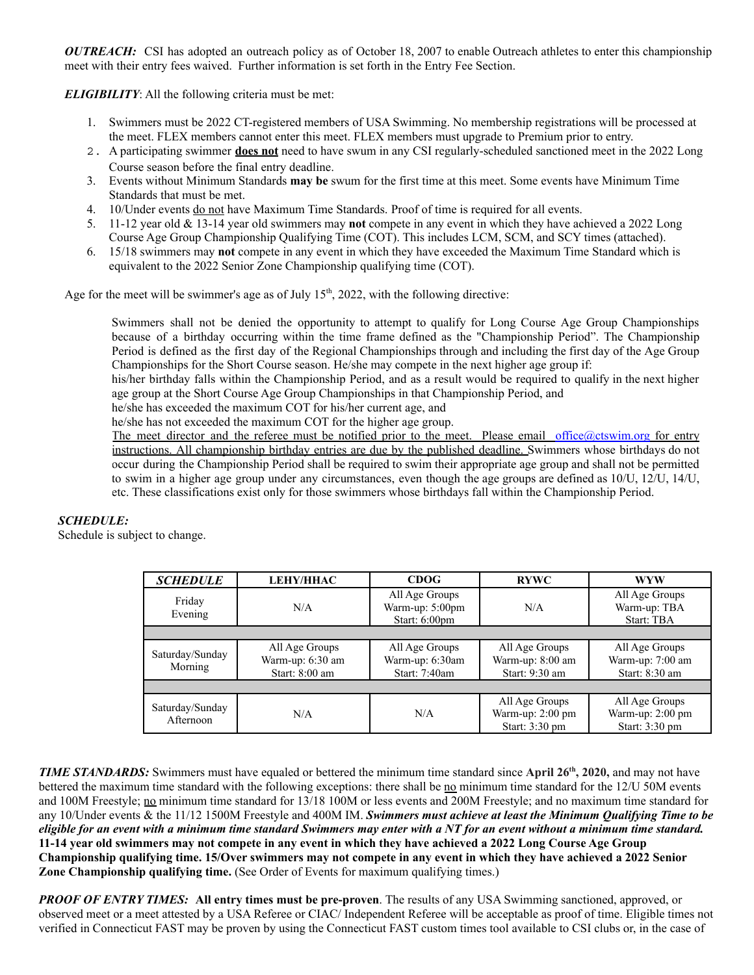*OUTREACH:* CSI has adopted an outreach policy as of October 18, 2007 to enable Outreach athletes to enter this championship meet with their entry fees waived. Further information is set forth in the Entry Fee Section.

*ELIGIBILITY*: All the following criteria must be met:

- 1. Swimmers must be 2022 CT-registered members of USA Swimming. No membership registrations will be processed at the meet. FLEX members cannot enter this meet. FLEX members must upgrade to Premium prior to entry.
- 2. A participating swimmer **does not** need to have swum in any CSI regularly-scheduled sanctioned meet in the 2022 Long Course season before the final entry deadline.
- 3. Events without Minimum Standards **may be** swum for the first time at this meet. Some events have Minimum Time Standards that must be met.
- 4. 10/Under events do not have Maximum Time Standards. Proof of time is required for all events.
- 5. 11-12 year old & 13-14 year old swimmers may **not** compete in any event in which they have achieved a 2022 Long Course Age Group Championship Qualifying Time (COT). This includes LCM, SCM, and SCY times (attached).
- 6. 15/18 swimmers may **not** compete in any event in which they have exceeded the Maximum Time Standard which is equivalent to the 2022 Senior Zone Championship qualifying time (COT).

Age for the meet will be swimmer's age as of July  $15<sup>th</sup>$ , 2022, with the following directive:

Swimmers shall not be denied the opportunity to attempt to qualify for Long Course Age Group Championships because of a birthday occurring within the time frame defined as the "Championship Period". The Championship Period is defined as the first day of the Regional Championships through and including the first day of the Age Group Championships for the Short Course season. He/she may compete in the next higher age group if:

his/her birthday falls within the Championship Period, and as a result would be required to qualify in the next higher age group at the Short Course Age Group Championships in that Championship Period, and

he/she has exceeded the maximum COT for his/her current age, and

he/she has not exceeded the maximum COT for the higher age group.

The meet director and the referee must be notified prior to the meet. Please email [office@ctswim.org](mailto:office@ctswim.org) for entry instructions. All championship birthday entries are due by the published deadline. Swimmers whose birthdays do not occur during the Championship Period shall be required to swim their appropriate age group and shall not be permitted to swim in a higher age group under any circumstances, even though the age groups are defined as 10/U, 12/U, 14/U, etc. These classifications exist only for those swimmers whose birthdays fall within the Championship Period.

## *SCHEDULE:*

Schedule is subject to change.

| <b>SCHEDULE</b>              | <b>LEHY/HHAC</b>                                     | <b>CDOG</b>                                        | <b>RYWC</b>                                          | <b>WYW</b>                                           |  |  |
|------------------------------|------------------------------------------------------|----------------------------------------------------|------------------------------------------------------|------------------------------------------------------|--|--|
| Friday<br>Evening            | N/A                                                  | All Age Groups<br>Warm-up: 5:00pm<br>Start: 6:00pm | N/A                                                  | All Age Groups<br>Warm-up: TBA<br>Start: TBA         |  |  |
|                              |                                                      |                                                    |                                                      |                                                      |  |  |
| Saturday/Sunday<br>Morning   | All Age Groups<br>Warm-up: 6:30 am<br>Start: 8:00 am | All Age Groups<br>Warm-up: 6:30am<br>Start: 7:40am | All Age Groups<br>Warm-up: 8:00 am<br>Start: 9:30 am | All Age Groups<br>Warm-up: 7:00 am<br>Start: 8:30 am |  |  |
|                              |                                                      |                                                    |                                                      |                                                      |  |  |
| Saturday/Sunday<br>Afternoon | N/A                                                  | N/A                                                | All Age Groups<br>Warm-up: 2:00 pm<br>Start: 3:30 pm | All Age Groups<br>Warm-up: 2:00 pm<br>Start: 3:30 pm |  |  |

*TIME STANDARDS:* Swimmers must have equaled or bettered the minimum time standard since **April 26 th , 2020,** and may not have bettered the maximum time standard with the following exceptions: there shall be no minimum time standard for the 12/U 50M events and 100M Freestyle; no minimum time standard for 13/18 100M or less events and 200M Freestyle; and no maximum time standard for any 10/Under events & the 11/12 1500M Freestyle and 400M IM. *Swimmers must achieve at least the Minimum Qualifying Time to be* eligible for an event with a minimum time standard Swimmers may enter with a NT for an event without a minimum time standard. 11-14 year old swimmers may not compete in any event in which they have achieved a 2022 Long Course Age Group Championship qualifying time. 15/Over swimmers may not compete in any event in which they have achieved a 2022 Senior **Zone Championship qualifying time.** (See Order of Events for maximum qualifying times.)

*PROOF OF ENTRY TIMES:* **All entry times must be pre-proven**. The results of any USA Swimming sanctioned, approved, or observed meet or a meet attested by a USA Referee or CIAC/ Independent Referee will be acceptable as proof of time. Eligible times not verified in Connecticut FAST may be proven by using the Connecticut FAST custom times tool available to CSI clubs or, in the case of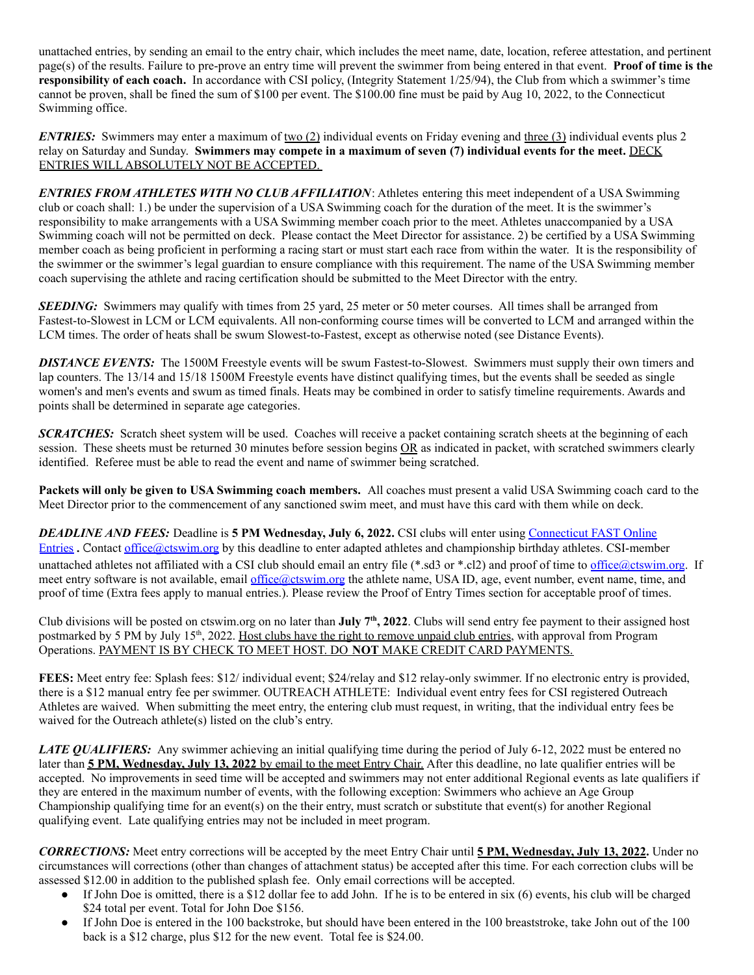unattached entries, by sending an email to the entry chair, which includes the meet name, date, location, referee attestation, and pertinent page(s) of the results. Failure to pre-prove an entry time will prevent the swimmer from being entered in that event. **Proof of time is the responsibility of each coach.** In accordance with CSI policy, (Integrity Statement 1/25/94), the Club from which a swimmer's time cannot be proven, shall be fined the sum of \$100 per event. The \$100.00 fine must be paid by Aug 10, 2022, to the Connecticut Swimming office.

*ENTRIES*: Swimmers may enter a maximum of <u>two (2)</u> individual events on Friday evening and three (3) individual events plus 2 relay on Saturday and Sunday. **Swimmers may compete in a maximum of seven (7) individual events for the meet.** DECK ENTRIES WILL ABSOLUTELY NOT BE ACCEPTED.

*ENTRIES FROM ATHLETES WITH NO CLUB AFFILIATION*: Athletes entering this meet independent of a USA Swimming club or coach shall: 1.) be under the supervision of a USA Swimming coach for the duration of the meet. It is the swimmer's responsibility to make arrangements with a USA Swimming member coach prior to the meet. Athletes unaccompanied by a USA Swimming coach will not be permitted on deck. Please contact the Meet Director for assistance. 2) be certified by a USA Swimming member coach as being proficient in performing a racing start or must start each race from within the water. It is the responsibility of the swimmer or the swimmer's legal guardian to ensure compliance with this requirement. The name of the USA Swimming member coach supervising the athlete and racing certification should be submitted to the Meet Director with the entry.

*SEEDING:* Swimmers may qualify with times from 25 yard, 25 meter or 50 meter courses. All times shall be arranged from Fastest-to-Slowest in LCM or LCM equivalents. All non-conforming course times will be converted to LCM and arranged within the LCM times. The order of heats shall be swum Slowest-to-Fastest, except as otherwise noted (see Distance Events).

*DISTANCE EVENTS:* The 1500M Freestyle events will be swum Fastest-to-Slowest. Swimmers must supply their own timers and lap counters. The 13/14 and 15/18 1500M Freestyle events have distinct qualifying times, but the events shall be seeded as single women's and men's events and swum as timed finals. Heats may be combined in order to satisfy timeline requirements. Awards and points shall be determined in separate age categories.

**SCRATCHES:** Scratch sheet system will be used. Coaches will receive a packet containing scratch sheets at the beginning of each session. These sheets must be returned 30 minutes before session begins OR as indicated in packet, with scratched swimmers clearly identified. Referee must be able to read the event and name of swimmer being scratched.

**Packets will only be given to USA Swimming coach members.** All coaches must present a valid USA Swimming coach card to the Meet Director prior to the commencement of any sanctioned swim meet, and must have this card with them while on deck.

*DEADLINE AND FEES:* Deadline is **5 PM Wednesday, July 6, 2022.** CSI clubs will enter using [Connecticut](http://ctswim.org/ctswim/Articles2/OnlineEntries.htm) FAST Online [Entries](http://ctswim.org/ctswim/Articles2/OnlineEntries.htm). Contact [office@ctswim.org](mailto:office@ctswim.org) by this deadline to enter adapted athletes and championship birthday athletes. CSI-member unattached athletes not affiliated with a CSI club should email an entry file (\*.sd3 or \*.cl2) and proof of time to [office@ctswim.org](mailto:office@ctswim.org). If meet entry software is not available, email [office@ctswim.org](mailto:office@ctswim.org) the athlete name, USA ID, age, event number, event name, time, and proof of time (Extra fees apply to manual entries.). Please review the Proof of Entry Times section for acceptable proof of times.

Club divisions will be posted on ctswim.org on no later than **July 7 th , 2022**. Clubs will send entry fee payment to their assigned host postmarked by 5 PM by July 15<sup>th</sup>, 2022. Host clubs have the right to remove unpaid club entries, with approval from Program Operations. PAYMENT IS BY CHECK TO MEET HOST. DO **NOT** MAKE CREDIT CARD PAYMENTS.

**FEES:** Meet entry fee: Splash fees: \$12/ individual event; \$24/relay and \$12 relay-only swimmer. If no electronic entry is provided, there is a \$12 manual entry fee per swimmer. OUTREACH ATHLETE: Individual event entry fees for CSI registered Outreach Athletes are waived. When submitting the meet entry, the entering club must request, in writing, that the individual entry fees be waived for the Outreach athlete(s) listed on the club's entry.

*LATE OUALIFIERS*: Any swimmer achieving an initial qualifying time during the period of July 6-12, 2022 must be entered no later than **5 PM, Wednesday, July 13, 2022** by email to the meet Entry Chair. After this deadline, no late qualifier entries will be accepted. No improvements in seed time will be accepted and swimmers may not enter additional Regional events as late qualifiers if they are entered in the maximum number of events, with the following exception: Swimmers who achieve an Age Group Championship qualifying time for an event(s) on the their entry, must scratch or substitute that event(s) for another Regional qualifying event. Late qualifying entries may not be included in meet program.

*CORRECTIONS:* Meet entry corrections will be accepted by the meet Entry Chair until **5 PM, Wednesday, July 13, 2022.** Under no circumstances will corrections (other than changes of attachment status) be accepted after this time. For each correction clubs will be assessed \$12.00 in addition to the published splash fee. Only email corrections will be accepted.

- If John Doe is omitted, there is a \$12 dollar fee to add John. If he is to be entered in six  $(6)$  events, his club will be charged \$24 total per event. Total for John Doe \$156.
- If John Doe is entered in the 100 backstroke, but should have been entered in the 100 breaststroke, take John out of the 100 back is a \$12 charge, plus \$12 for the new event. Total fee is \$24.00.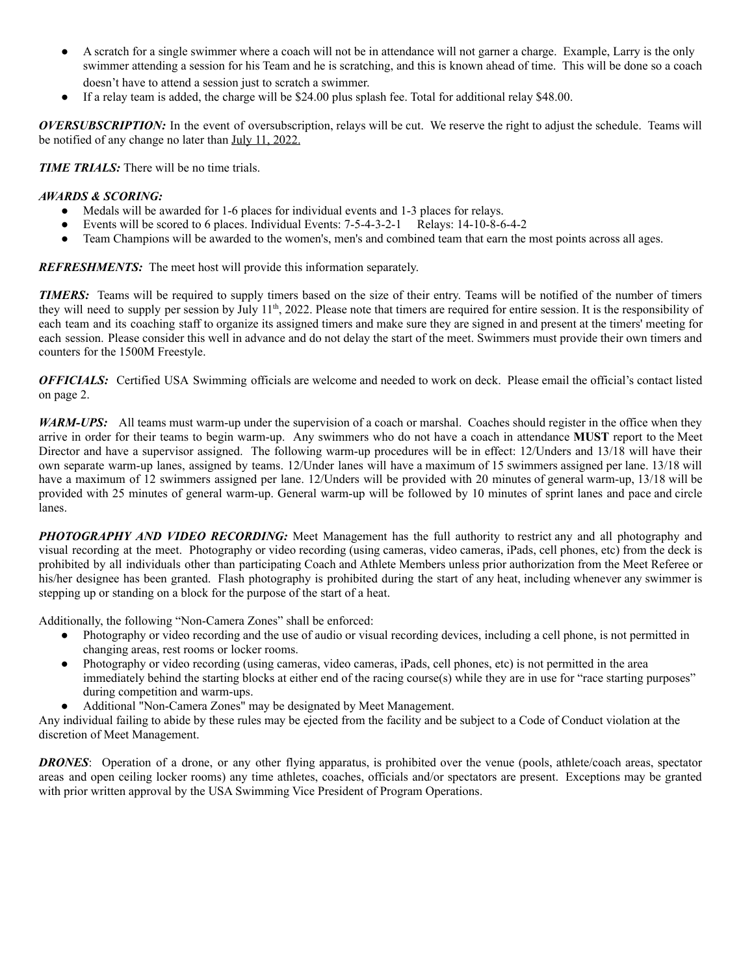- A scratch for a single swimmer where a coach will not be in attendance will not garner a charge. Example, Larry is the only swimmer attending a session for his Team and he is scratching, and this is known ahead of time. This will be done so a coach doesn't have to attend a session just to scratch a swimmer.
- If a relay team is added, the charge will be \$24.00 plus splash fee. Total for additional relay \$48.00.

*OVERSUBSCRIPTION:* In the event of oversubscription, relays will be cut. We reserve the right to adjust the schedule. Teams will be notified of any change no later than July 11, 2022.

*TIME TRIALS:* There will be no time trials.

## *AWARDS & SCORING:*

- Medals will be awarded for 1-6 places for individual events and 1-3 places for relays.
- Events will be scored to 6 places. Individual Events: 7-5-4-3-2-1 Relays: 14-10-8-6-4-2
- *●* Team Champions will be awarded to the women's, men's and combined team that earn the most points across all ages.

*REFRESHMENTS:* The meet host will provide this information separately.

*TIMERS:* Teams will be required to supply timers based on the size of their entry. Teams will be notified of the number of timers they will need to supply per session by July 11<sup>th</sup>, 2022. Please note that timers are required for entire session. It is the responsibility of each team and its coaching staff to organize its assigned timers and make sure they are signed in and present at the timers' meeting for each session. Please consider this well in advance and do not delay the start of the meet. Swimmers must provide their own timers and counters for the 1500M Freestyle.

*OFFICIALS:* Certified USA Swimming officials are welcome and needed to work on deck. Please email the official's contact listed on page 2.

*WARM-UPS:* All teams must warm-up under the supervision of a coach or marshal. Coaches should register in the office when they arrive in order for their teams to begin warm-up. Any swimmers who do not have a coach in attendance **MUST** report to the Meet Director and have a supervisor assigned. The following warm-up procedures will be in effect: 12/Unders and 13/18 will have their own separate warm-up lanes, assigned by teams. 12/Under lanes will have a maximum of 15 swimmers assigned per lane. 13/18 will have a maximum of 12 swimmers assigned per lane. 12/Unders will be provided with 20 minutes of general warm-up, 13/18 will be provided with 25 minutes of general warm-up. General warm-up will be followed by 10 minutes of sprint lanes and pace and circle lanes.

*PHOTOGRAPHY AND VIDEO RECORDING:* Meet Management has the full authority to restrict any and all photography and visual recording at the meet. Photography or video recording (using cameras, video cameras, iPads, cell phones, etc) from the deck is prohibited by all individuals other than participating Coach and Athlete Members unless prior authorization from the Meet Referee or his/her designee has been granted. Flash photography is prohibited during the start of any heat, including whenever any swimmer is stepping up or standing on a block for the purpose of the start of a heat.

Additionally, the following "Non-Camera Zones" shall be enforced:

- Photography or video recording and the use of audio or visual recording devices, including a cell phone, is not permitted in changing areas, rest rooms or locker rooms.
- Photography or video recording (using cameras, video cameras, iPads, cell phones, etc) is not permitted in the area immediately behind the starting blocks at either end of the racing course(s) while they are in use for "race starting purposes" during competition and warm-ups.
- Additional "Non-Camera Zones" may be designated by Meet Management.

Any individual failing to abide by these rules may be ejected from the facility and be subject to a Code of Conduct violation at the discretion of Meet Management.

*DRONES*: Operation of a drone, or any other flying apparatus, is prohibited over the venue (pools, athlete/coach areas, spectator areas and open ceiling locker rooms) any time athletes, coaches, officials and/or spectators are present. Exceptions may be granted with prior written approval by the USA Swimming Vice President of Program Operations.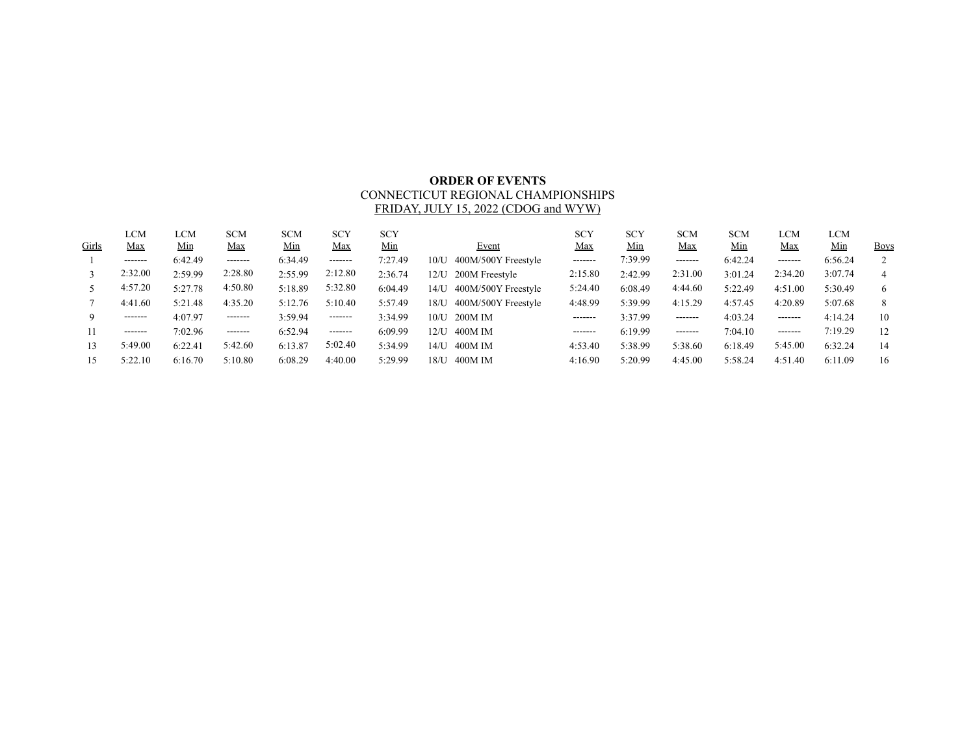## **ORDER OF EVENTS** CONNECTICUT REGIONAL CHAMPIONSHIPS FRIDAY, JULY 15, 2022 (CDOG and WYW)

<span id="page-6-0"></span>

| Girls | LCM<br><u>Max</u> | LCM<br><u>Min</u> | <b>SCM</b><br><u>Max</u> | <b>SCM</b><br><u>Min</u> | <b>SCY</b><br><b>Max</b> | <b>SCY</b><br>Min | Event                       | <b>SCY</b><br><u>Max</u> | <b>SCY</b><br><u>Min</u> | <b>SCM</b><br><b>Max</b> | <b>SCM</b><br>Min | LCM<br><u>Max</u> | LCM<br>Min | <b>Boys</b> |
|-------|-------------------|-------------------|--------------------------|--------------------------|--------------------------|-------------------|-----------------------------|--------------------------|--------------------------|--------------------------|-------------------|-------------------|------------|-------------|
|       | --------          | 6:42.49           | --------                 | 6:34.49                  | $- - - - - - -$          | 7:27.49           | 400M/500Y Freestyle<br>10/U | -------                  | 7:39.99                  | -------                  | 6:42.24           | -------           | 6:56.24    |             |
|       | 2:32.00           | 2:59.99           | 2:28.80                  | 2:55.99                  | 2:12.80                  | 2:36.74           | 200M Freestyle<br>12/U      | 2:15.80                  | 2:42.99                  | 2:31.00                  | 3:01.24           | 2:34.20           | 3:07.74    | 4           |
|       | 4:57.20           | 5:27.78           | 4:50.80                  | 5:18.89                  | 5:32.80                  | 6:04.49           | 400M/500Y Freestyle<br>14/U | 5:24.40                  | 6:08.49                  | 4:44.60                  | 5:22.49           | 4:51.00           | 5:30.49    | 6           |
|       | 4:41.60           | 5:21.48           | 4:35.20                  | 5:12.76                  | 5:10.40                  | 5:57.49           | 400M/500Y Freestyle<br>18/U | 4:48.99                  | 5:39.99                  | 4:15.29                  | 4:57.45           | 4:20.89           | 5:07.68    | 8           |
|       | --------          | 4:07.97           | --------                 | 3:59.94                  | --------                 | 3:34.99           | 200M IM<br>10/L             | -------                  | 3:37.99                  | -------                  | 4:03.24           | -------           | 4:14.24    | 10          |
|       | -------           | 7:02.96           | -------                  | 6:52.94                  | $- - - - - - -$          | 6:09.99           | 400M IM<br>$12/I$ J         | -------                  | 6:19.99                  | -------                  | 7:04.10           | -------           | 7:19.29    | 12          |
| 13    | 5:49.00           | 6:22.41           | 5:42.60                  | 6:13.87                  | 5:02.40                  | 5:34.99           | 400M IM<br>14/1             | 4:53.40                  | 5:38.99                  | 5:38.60                  | 6:18.49           | 5:45.00           | 6:32.24    | 14          |
|       | 5:22.10           | 6:16.70           | 5:10.80                  | 6:08.29                  | 4:40.00                  | 5:29.99           | 400M IM<br>18/U             | 4:16.90                  | 5:20.99                  | 4:45.00                  | 5:58.24           | 4:51.40           | 6:11.09    | 16          |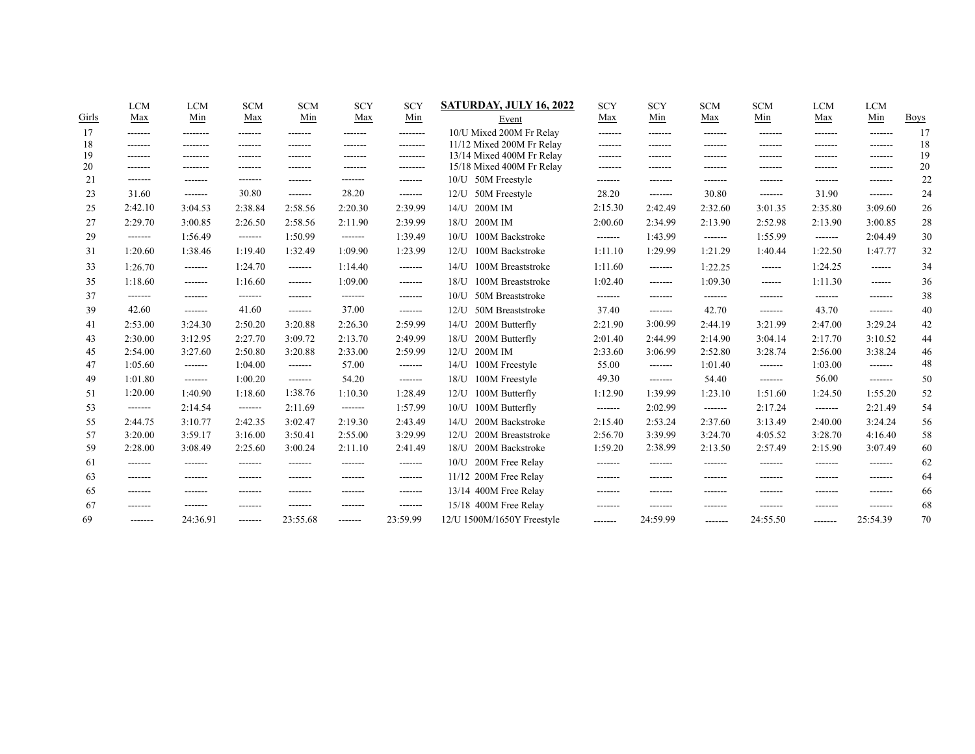|       | <b>LCM</b> | <b>LCM</b> | <b>SCM</b>         | <b>SCM</b>      | <b>SCY</b>      | <b>SCY</b> | <b>SATURDAY, JULY 16, 2022</b> | <b>SCY</b> | <b>SCY</b> | <b>SCM</b>      | <b>SCM</b>    | <b>LCM</b>      | <b>LCM</b>    |             |
|-------|------------|------------|--------------------|-----------------|-----------------|------------|--------------------------------|------------|------------|-----------------|---------------|-----------------|---------------|-------------|
| Girls | Max        | Min        | Max                | Min             | Max             | Min        | Event                          | Max        | Min        | Max             | Min           | Max             | Min           | <b>Boys</b> |
| 17    | -------    | --------   | -------            | -------         | -------         | --------   | 10/U Mixed 200M Fr Relay       | -------    | -------    | -------         | -------       | -------         | -------       | 17          |
| 18    | -------    | --------   | -------            | -------         | -------         | --------   | 11/12 Mixed 200M Fr Relay      | -------    | -------    | -------         | -------       | -------         | --------      | 18          |
| 19    | -------    |            |                    |                 | -------         | --------   | 13/14 Mixed 400M Fr Relay      | -------    |            | -------         | -------       | .               | -------       | 19          |
| 20    | -------    | --------   | -------<br>------- |                 | --------        | --------   | 15/18 Mixed 400M Fr Relay      | -------    |            | -------         | -------       | -------         | -------       | 20          |
| 21    | -------    | --------   |                    | -------         | -------         | -------    | 50M Freestyle<br>10/U          | -------    | -------    | -------         | -------       | -------         | -------       | 22          |
| 23    | 31.60      | -------    | 30.80              | -------         | 28.20           | -------    | 50M Freestyle<br>12/U          | 28.20      | --------   | 30.80           | -------       | 31.90           | -------       | 24          |
| 25    | 2:42.10    | 3:04.53    | 2:38.84            | 2:58.56         | 2:20.30         | 2:39.99    | 200M IM<br>14/U                | 2:15.30    | 2:42.49    | 2:32.60         | 3:01.35       | 2:35.80         | 3:09.60       | 26          |
| 27    | 2:29.70    | 3:00.85    | 2:26.50            | 2:58.56         | 2:11.90         | 2:39.99    | 200M IM<br>$18/$ U             | 2:00.60    | 2:34.99    | 2:13.90         | 2:52.98       | 2:13.90         | 3:00.85       | 28          |
| 29    | -------    | 1:56.49    | -------            | 1:50.99         | $- - - - - - -$ | 1:39.49    | 100M Backstroke<br>10/L        | -------    | 1:43.99    | -------         | 1:55.99       | -------         | 2:04.49       | 30          |
| 31    | 1:20.60    | 1:38.46    | 1:19.40            | 1:32.49         | 1:09.90         | 1:23.99    | 100M Backstroke<br>$12/$ U     | 1:11.10    | 1:29.99    | 1:21.29         | 1:40.44       | 1:22.50         | 1:47.77       | 32          |
| 33    | 1:26.70    | -------    | 1:24.70            | -------         | 1:14.40         | -------    | 100M Breaststroke<br>$14/$ U   | 1:11.60    | -------    | 1:22.25         | ------        | 1:24.25         | $- - - - - -$ | 34          |
| 35    | 1:18.60    | --------   | 1:16.60            | -------         | 1:09.00         | -------    | 100M Breaststroke<br>$18/$ U   | 1:02.40    | -------    | 1:09.30         | $- - - - - -$ | 1:11.30         | $- - - - - -$ | 36          |
| 37    | -------    | -------    | -------            | -------         | -------         | -------    | 50M Breaststroke<br>10/L       | -------    | -------    | -------         | -------       | -------         | -------       | 38          |
| 39    | 42.60      | -------    | 41.60              | -------         | 37.00           | -------    | 50M Breaststroke<br>12/I       | 37.40      | -------    | 42.70           | --------      | 43.70           | --------      | 40          |
| 41    | 2:53.00    | 3:24.30    | 2:50.20            | 3:20.88         | 2:26.30         | 2:59.99    | 200M Butterfly<br>$14/$ U      | 2:21.90    | 3:00.99    | 2:44.19         | 3:21.99       | 2:47.00         | 3:29.24       | 42          |
| 43    | 2:30.00    | 3:12.95    | 2:27.70            | 3:09.72         | 2:13.70         | 2:49.99    | 200M Butterfly<br>$18/$ U      | 2:01.40    | 2:44.99    | 2:14.90         | 3:04.14       | 2:17.70         | 3:10.52       | 44          |
| 45    | 2:54.00    | 3:27.60    | 2:50.80            | 3:20.88         | 2:33.00         | 2:59.99    | 200M IM<br>12 <sub>U</sub>     | 2:33.60    | 3:06.99    | 2:52.80         | 3:28.74       | 2:56.00         | 3:38.24       | 46          |
| 47    | 1:05.60    | -------    | 1:04.00            | $- - - - - - -$ | 57.00           | -------    | 100M Freestyle<br>$14/$ U      | 55.00      | --------   | 1:01.40         | -------       | 1:03.00         | -------       | 48          |
| 49    | 1:01.80    | -------    | 1:00.20            | -------         | 54.20           | -------    | 100M Freestyle<br>$18/$ U      | 49.30      | --------   | 54.40           | -------       | 56.00           | -------       | 50          |
| 51    | 1:20.00    | 1:40.90    | 1:18.60            | 1:38.76         | 1:10.30         | 1:28.49    | 100M Butterfly<br>$12/$ U      | 1:12.90    | 1:39.99    | 1:23.10         | 1:51.60       | 1:24.50         | 1:55.20       | 52          |
| 53    | -------    | 2:14.54    | -------            | 2:11.69         | -------         | 1:57.99    | 100M Butterfly<br>$10/$ U      | -------    | 2:02.99    | -------         | 2:17.24       | -------         | 2:21.49       | 54          |
| 55    | 2:44.75    | 3:10.77    | 2:42.35            | 3:02.47         | 2:19.30         | 2:43.49    | 200M Backstroke<br>$14/$ U     | 2:15.40    | 2:53.24    | 2:37.60         | 3:13.49       | 2:40.00         | 3:24.24       | 56          |
| 57    | 3:20.00    | 3:59.17    | 3:16.00            | 3:50.41         | 2:55.00         | 3:29.99    | 200M Breaststroke<br>12/I      | 2:56.70    | 3:39.99    | 3:24.70         | 4:05.52       | 3:28.70         | 4:16.40       | 58          |
| 59    | 2:28.00    | 3:08.49    | 2:25.60            | 3:00.24         | 2:11.10         | 2:41.49    | $18/$ U<br>200M Backstroke     | 1:59.20    | 2:38.99    | 2:13.50         | 2:57.49       | 2:15.90         | 3:07.49       | 60          |
| 61    | -------    | -------    | --------           | -------         | -------         | -------    | 200M Free Relay<br>$10/$ U     | --------   | --------   | -------         | --------      | -------         | -------       | 62          |
| 63    | --------   | -------    | -------            | -------         | -------         | -------    | 11/12 200M Free Relay          | --------   | -------    | -------         | -------       | -------         | --------      | 64          |
| 65    | -------    | -------    | -------            |                 | -------         | -------    | 13/14 400M Free Relay          | --------   | -------    | -------         | --------      | -------         | -------       | 66          |
| 67    | -------    | -------    | -------            | -------         | -------         | -------    | 15/18 400M Free Relay          | -------    | -------    | -------         | -------       | -------         | -------       | 68          |
| 69    | -------    | 24:36.91   | -------            | 23:55.68        | -------         | 23:59.99   | 12/U 1500M/1650Y Freestyle     | --------   | 24:59.99   | $- - - - - - -$ | 24:55.50      | $- - - - - - -$ | 25:54.39      | 70          |